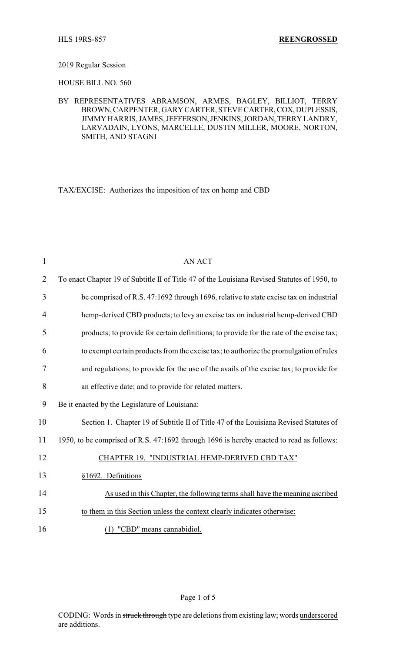## 2019 Regular Session

HOUSE BILL NO. 560

BY REPRESENTATIVES ABRAMSON, ARMES, BAGLEY, BILLIOT, TERRY BROWN,CARPENTER, GARY CARTER, STEVE CARTER,COX,DUPLESSIS, JIMMY HARRIS,JAMES,JEFFERSON,JENKINS,JORDAN,TERRY LANDRY, LARVADAIN, LYONS, MARCELLE, DUSTIN MILLER, MOORE, NORTON, SMITH, AND STAGNI

TAX/EXCISE: Authorizes the imposition of tax on hemp and CBD

| $\mathbf{1}$   | <b>AN ACT</b>                                                                                |
|----------------|----------------------------------------------------------------------------------------------|
| $\overline{2}$ | To enact Chapter 19 of Subtitle II of Title 47 of the Louisiana Revised Statutes of 1950, to |
| 3              | be comprised of R.S. 47:1692 through 1696, relative to state excise tax on industrial        |
| 4              | hemp-derived CBD products; to levy an excise tax on industrial hemp-derived CBD              |
| 5              | products; to provide for certain definitions; to provide for the rate of the excise tax;     |
| 6              | to exempt certain products from the excise tax; to authorize the promulgation of rules       |
| 7              | and regulations; to provide for the use of the avails of the excise tax; to provide for      |
| 8              | an effective date; and to provide for related matters.                                       |
| 9              | Be it enacted by the Legislature of Louisiana:                                               |
| 10             | Section 1. Chapter 19 of Subtitle II of Title 47 of the Louisiana Revised Statutes of        |
| 11             | 1950, to be comprised of R.S. 47:1692 through 1696 is hereby enacted to read as follows:     |
| 12             | CHAPTER 19. "INDUSTRIAL HEMP-DERIVED CBD TAX"                                                |
| 13             | §1692. Definitions                                                                           |
| 14             | As used in this Chapter, the following terms shall have the meaning ascribed                 |
| 15             | to them in this Section unless the context clearly indicates otherwise:                      |
| 16             | (1) "CBD" means cannabidiol.                                                                 |

## Page 1 of 5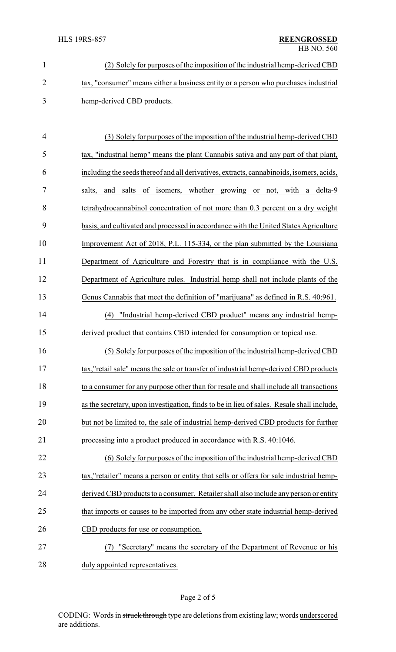| (2) Solely for purposes of the imposition of the industrial hemp-derived CBD        |
|-------------------------------------------------------------------------------------|
| tax, "consumer" means either a business entity or a person who purchases industrial |
| hemp-derived CBD products.                                                          |

| $\overline{4}$ | (3) Solely for purposes of the imposition of the industrial hemp-derived CBD              |
|----------------|-------------------------------------------------------------------------------------------|
| 5              | tax, "industrial hemp" means the plant Cannabis sativa and any part of that plant,        |
| 6              | including the seeds thereof and all derivatives, extracts, cannabinoids, isomers, acids,  |
| 7              | and salts of isomers, whether growing or not, with a delta-9<br>salts,                    |
| 8              | tetrahydrocannabinol concentration of not more than 0.3 percent on a dry weight           |
| 9              | basis, and cultivated and processed in accordance with the United States Agriculture      |
| 10             | Improvement Act of 2018, P.L. 115-334, or the plan submitted by the Louisiana             |
| 11             | Department of Agriculture and Forestry that is in compliance with the U.S.                |
| 12             | Department of Agriculture rules. Industrial hemp shall not include plants of the          |
| 13             | Genus Cannabis that meet the definition of "marijuana" as defined in R.S. 40:961.         |
| 14             | "Industrial hemp-derived CBD product" means any industrial hemp-<br>(4)                   |
| 15             | derived product that contains CBD intended for consumption or topical use.                |
| 16             | (5) Solely for purposes of the imposition of the industrial hemp-derived CBD              |
| 17             | tax,"retail sale" means the sale or transfer of industrial hemp-derived CBD products      |
| 18             | to a consumer for any purpose other than for resale and shall include all transactions    |
| 19             | as the secretary, upon investigation, finds to be in lieu of sales. Resale shall include, |
| 20             | but not be limited to, the sale of industrial hemp-derived CBD products for further       |
| 21             | processing into a product produced in accordance with R.S. 40:1046.                       |
| 22             | (6) Solely for purposes of the imposition of the industrial hemp-derived CBD              |
| 23             | tax,"retailer" means a person or entity that sells or offers for sale industrial hemp-    |
| 24             | derived CBD products to a consumer. Retailer shall also include any person or entity      |

- 25 that imports or causes to be imported from any other state industrial hemp-derived CBD products for use or consumption.
- (7) "Secretary" means the secretary of the Department of Revenue or his duly appointed representatives.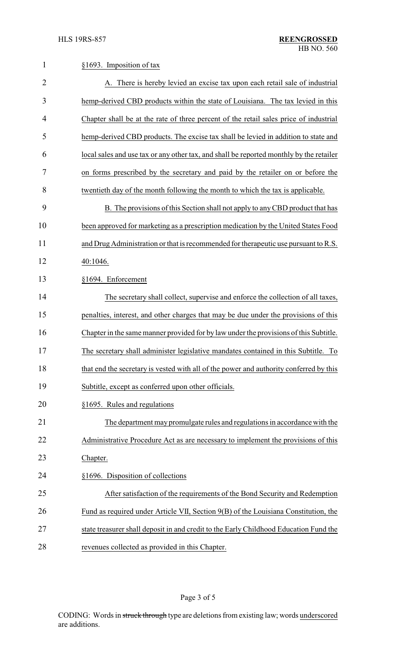| $\mathbf{1}$   | §1693. Imposition of tax                                                                |
|----------------|-----------------------------------------------------------------------------------------|
| $\overline{2}$ | A. There is hereby levied an excise tax upon each retail sale of industrial             |
| 3              | hemp-derived CBD products within the state of Louisiana. The tax levied in this         |
| 4              | Chapter shall be at the rate of three percent of the retail sales price of industrial   |
| 5              | hemp-derived CBD products. The excise tax shall be levied in addition to state and      |
| 6              | local sales and use tax or any other tax, and shall be reported monthly by the retailer |
| 7              | on forms prescribed by the secretary and paid by the retailer on or before the          |
| 8              | twentieth day of the month following the month to which the tax is applicable.          |
| 9              | B. The provisions of this Section shall not apply to any CBD product that has           |
| 10             | been approved for marketing as a prescription medication by the United States Food      |
| 11             | and Drug Administration or that is recommended for therapeutic use pursuant to R.S.     |
| 12             | 40:1046.                                                                                |
| 13             | §1694. Enforcement                                                                      |
| 14             | The secretary shall collect, supervise and enforce the collection of all taxes,         |
| 15             | penalties, interest, and other charges that may be due under the provisions of this     |
| 16             | Chapter in the same manner provided for by law under the provisions of this Subtitle.   |
| 17             | The secretary shall administer legislative mandates contained in this Subtitle. To      |
| 18             | that end the secretary is vested with all of the power and authority conferred by this  |
| 19             | Subtitle, except as conferred upon other officials.                                     |
| 20             | §1695. Rules and regulations                                                            |
| 21             | The department may promulgate rules and regulations in accordance with the              |
| 22             | Administrative Procedure Act as are necessary to implement the provisions of this       |
| 23             | Chapter.                                                                                |
| 24             | §1696. Disposition of collections                                                       |
| 25             | After satisfaction of the requirements of the Bond Security and Redemption              |
| 26             | Fund as required under Article VII, Section 9(B) of the Louisiana Constitution, the     |
| 27             | state treasurer shall deposit in and credit to the Early Childhood Education Fund the   |
| 28             | revenues collected as provided in this Chapter.                                         |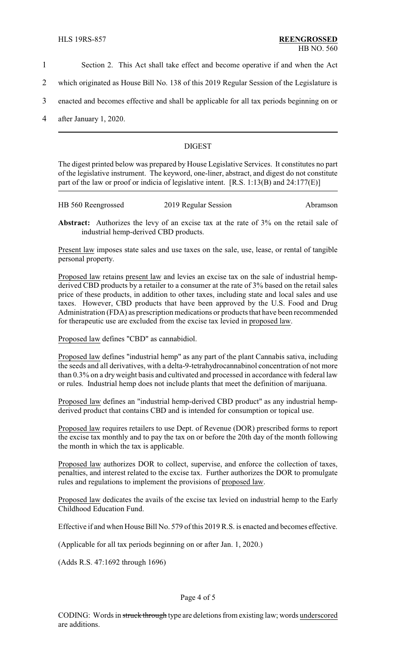- 1 Section 2. This Act shall take effect and become operative if and when the Act
- 2 which originated as House Bill No. 138 of this 2019 Regular Session of the Legislature is
- 3 enacted and becomes effective and shall be applicable for all tax periods beginning on or
- 4 after January 1, 2020.

# DIGEST

The digest printed below was prepared by House Legislative Services. It constitutes no part of the legislative instrument. The keyword, one-liner, abstract, and digest do not constitute part of the law or proof or indicia of legislative intent. [R.S. 1:13(B) and 24:177(E)]

| HB 560 Reengrossed | 2019 Regular Session | Abramson |
|--------------------|----------------------|----------|
|                    |                      |          |

**Abstract:** Authorizes the levy of an excise tax at the rate of 3% on the retail sale of industrial hemp-derived CBD products.

Present law imposes state sales and use taxes on the sale, use, lease, or rental of tangible personal property.

Proposed law retains present law and levies an excise tax on the sale of industrial hempderived CBD products by a retailer to a consumer at the rate of 3% based on the retail sales price of these products, in addition to other taxes, including state and local sales and use taxes. However, CBD products that have been approved by the U.S. Food and Drug Administration (FDA) as prescription medications or products that have been recommended for therapeutic use are excluded from the excise tax levied in proposed law.

Proposed law defines "CBD" as cannabidiol.

Proposed law defines "industrial hemp" as any part of the plant Cannabis sativa, including the seeds and all derivatives, with a delta-9-tetrahydrocannabinol concentration of not more than 0.3% on a dryweight basis and cultivated and processed in accordance with federal law or rules. Industrial hemp does not include plants that meet the definition of marijuana.

Proposed law defines an "industrial hemp-derived CBD product" as any industrial hempderived product that contains CBD and is intended for consumption or topical use.

Proposed law requires retailers to use Dept. of Revenue (DOR) prescribed forms to report the excise tax monthly and to pay the tax on or before the 20th day of the month following the month in which the tax is applicable.

Proposed law authorizes DOR to collect, supervise, and enforce the collection of taxes, penalties, and interest related to the excise tax. Further authorizes the DOR to promulgate rules and regulations to implement the provisions of proposed law.

Proposed law dedicates the avails of the excise tax levied on industrial hemp to the Early Childhood Education Fund.

Effective if and when House Bill No. 579 of this 2019 R.S. is enacted and becomes effective.

(Applicable for all tax periods beginning on or after Jan. 1, 2020.)

(Adds R.S. 47:1692 through 1696)

#### Page 4 of 5